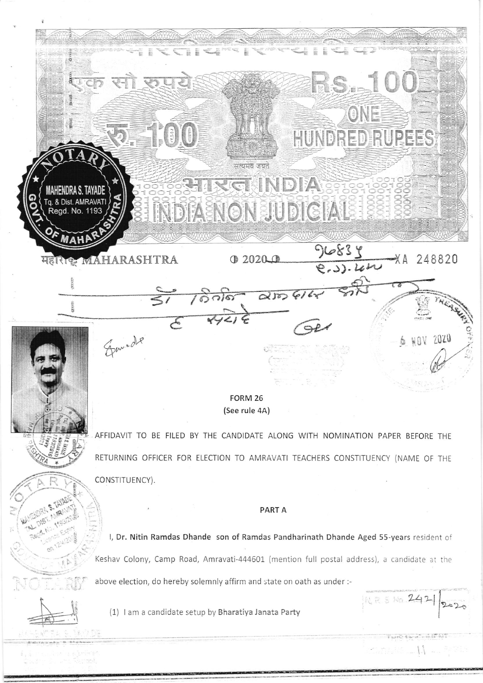

(See rule 4A)

AFFIDAVIT TO BE FILED BY THE CANDIDATE ALONG WITH NOMINATION PAPER BEFORE THE RETURNING OFFICER FOR ELECTION TO AMRAVATI TEACHERS CONSTITUENCY (NAME OF THE CONSTITUENCY).

## **PARTA**

I, Dr. Nitin Ramdas Dhande son of Ramdas Pandharinath Dhande Aged 55-years resident of Keshav Colony, Camp Road, Amravati-444601 (mention full postal address), a candidate at the above election, do hereby solemnly affirm and state on oath as under :-

NR 5 No 2421

 $2020$ 



(1) I am a candidate setup by Bharatiya Janata Party